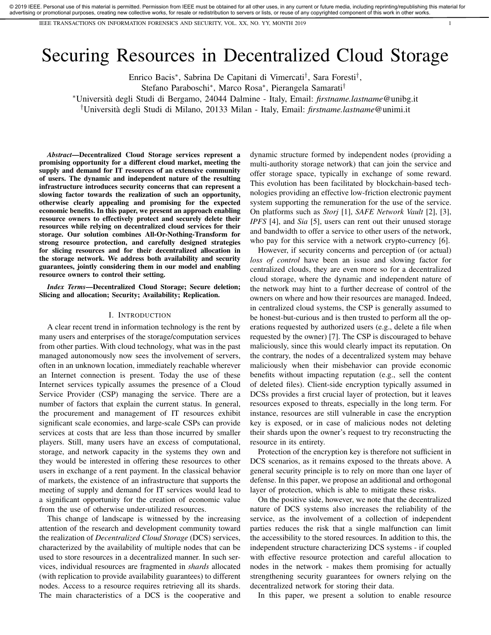IEEE TRANSACTIONS ON INFORMATION FORENSICS AND SECURITY, VOL. XX, NO. YY, MONTH 2019 1

# Securing Resources in Decentralized Cloud Storage

Enrico Bacis<sup>∗</sup> , Sabrina De Capitani di Vimercati† , Sara Foresti† ,

Stefano Paraboschi<sup>∗</sup> , Marco Rosa<sup>∗</sup> , Pierangela Samarati†

<sup>∗</sup>Universita degli Studi di Bergamo, 24044 Dalmine - Italy, Email: ` *firstname.lastname*@unibg.it

†Universita degli Studi di Milano, 20133 Milan - Italy, Email: ` *firstname.lastname*@unimi.it

*Abstract*—Decentralized Cloud Storage services represent a promising opportunity for a different cloud market, meeting the supply and demand for IT resources of an extensive community of users. The dynamic and independent nature of the resulting infrastructure introduces security concerns that can represent a slowing factor towards the realization of such an opportunity, otherwise clearly appealing and promising for the expected economic benefits. In this paper, we present an approach enabling resource owners to effectively protect and securely delete their resources while relying on decentralized cloud services for their storage. Our solution combines All-Or-Nothing-Transform for strong resource protection, and carefully designed strategies for slicing resources and for their decentralized allocation in the storage network. We address both availability and security guarantees, jointly considering them in our model and enabling resource owners to control their setting.

*Index Terms*—Decentralized Cloud Storage; Secure deletion; Slicing and allocation; Security; Availability; Replication.

#### I. INTRODUCTION

A clear recent trend in information technology is the rent by many users and enterprises of the storage/computation services from other parties. With cloud technology, what was in the past managed autonomously now sees the involvement of servers, often in an unknown location, immediately reachable wherever an Internet connection is present. Today the use of these Internet services typically assumes the presence of a Cloud Service Provider (CSP) managing the service. There are a number of factors that explain the current status. In general, the procurement and management of IT resources exhibit significant scale economies, and large-scale CSPs can provide services at costs that are less than those incurred by smaller players. Still, many users have an excess of computational, storage, and network capacity in the systems they own and they would be interested in offering these resources to other users in exchange of a rent payment. In the classical behavior of markets, the existence of an infrastructure that supports the meeting of supply and demand for IT services would lead to a significant opportunity for the creation of economic value from the use of otherwise under-utilized resources.

This change of landscape is witnessed by the increasing attention of the research and development community toward the realization of *Decentralized Cloud Storage* (DCS) services, characterized by the availability of multiple nodes that can be used to store resources in a decentralized manner. In such services, individual resources are fragmented in *shards* allocated (with replication to provide availability guarantees) to different nodes. Access to a resource requires retrieving all its shards. The main characteristics of a DCS is the cooperative and

dynamic structure formed by independent nodes (providing a multi-authority storage network) that can join the service and offer storage space, typically in exchange of some reward. This evolution has been facilitated by blockchain-based technologies providing an effective low-friction electronic payment system supporting the remuneration for the use of the service. On platforms such as *Storj* [1], *SAFE Network Vault* [2], [3], *IPFS* [4], and *Sia* [5], users can rent out their unused storage and bandwidth to offer a service to other users of the network, who pay for this service with a network crypto-currency [6].

However, if security concerns and perception of (or actual) *loss of control* have been an issue and slowing factor for centralized clouds, they are even more so for a decentralized cloud storage, where the dynamic and independent nature of the network may hint to a further decrease of control of the owners on where and how their resources are managed. Indeed, in centralized cloud systems, the CSP is generally assumed to be honest-but-curious and is then trusted to perform all the operations requested by authorized users (e.g., delete a file when requested by the owner) [7]. The CSP is discouraged to behave maliciously, since this would clearly impact its reputation. On the contrary, the nodes of a decentralized system may behave maliciously when their misbehavior can provide economic benefits without impacting reputation (e.g., sell the content of deleted files). Client-side encryption typically assumed in DCSs provides a first crucial layer of protection, but it leaves resources exposed to threats, especially in the long term. For instance, resources are still vulnerable in case the encryption key is exposed, or in case of malicious nodes not deleting their shards upon the owner's request to try reconstructing the resource in its entirety.

Protection of the encryption key is therefore not sufficient in DCS scenarios, as it remains exposed to the threats above. A general security principle is to rely on more than one layer of defense. In this paper, we propose an additional and orthogonal layer of protection, which is able to mitigate these risks.

On the positive side, however, we note that the decentralized nature of DCS systems also increases the reliability of the service, as the involvement of a collection of independent parties reduces the risk that a single malfunction can limit the accessibility to the stored resources. In addition to this, the independent structure characterizing DCS systems - if coupled with effective resource protection and careful allocation to nodes in the network - makes them promising for actually strengthening security guarantees for owners relying on the decentralized network for storing their data.

In this paper, we present a solution to enable resource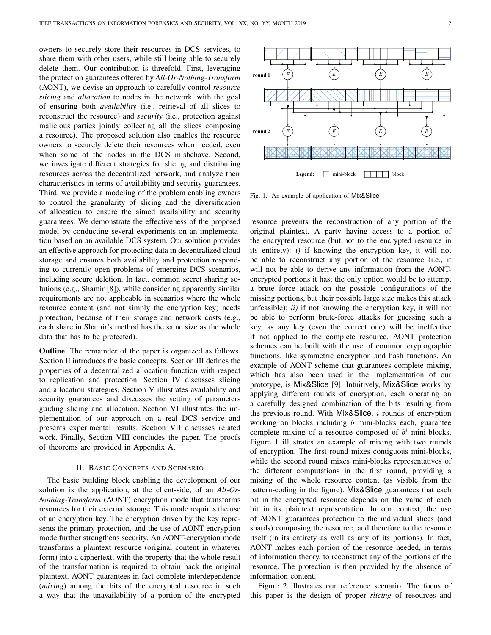owners to securely store their resources in DCS services, to share them with other users, while still being able to securely delete them. Our contribution is threefold. First, leveraging the protection guarantees offered by *All-Or-Nothing-Transform* (AONT), we devise an approach to carefully control *resource slicing* and *allocation* to nodes in the network, with the goal of ensuring both *availability* (i.e., retrieval of all slices to reconstruct the resource) and *security* (i.e., protection against malicious parties jointly collecting all the slices composing a resource). The proposed solution also enables the resource owners to securely delete their resources when needed, even when some of the nodes in the DCS misbehave. Second, we investigate different strategies for slicing and distributing resources across the decentralized network, and analyze their characteristics in terms of availability and security guarantees. Third, we provide a modeling of the problem enabling owners to control the granularity of slicing and the diversification of allocation to ensure the aimed availability and security guarantees. We demonstrate the effectiveness of the proposed model by conducting several experiments on an implementation based on an available DCS system. Our solution provides an effective approach for protecting data in decentralized cloud storage and ensures both availability and protection responding to currently open problems of emerging DCS scenarios, including secure deletion. In fact, common secret sharing solutions (e.g., Shamir [8]), while considering apparently similar requirements are not applicable in scenarios where the whole resource content (and not simply the encryption key) needs protection, because of their storage and network costs (e.g., each share in Shamir's method has the same size as the whole data that has to be protected).

Outline. The remainder of the paper is organized as follows. Section II introduces the basic concepts. Section III defines the properties of a decentralized allocation function with respect to replication and protection. Section IV discusses slicing and allocation strategies. Section V illustrates availability and security guarantees and discusses the setting of parameters guiding slicing and allocation. Section VI illustrates the implementation of our approach on a real DCS service and presents experimental results. Section VII discusses related work. Finally, Section VIII concludes the paper. The proofs of theorems are provided in Appendix A.

## II. BASIC CONCEPTS AND SCENARIO

The basic building block enabling the development of our solution is the application, at the client-side, of an *All-Or-Nothing-Transform* (AONT) encryption mode that transforms resources for their external storage. This mode requires the use of an encryption key. The encryption driven by the key represents the primary protection, and the use of AONT encryption mode further strengthens security. An AONT-encryption mode transforms a plaintext resource (original content in whatever form) into a ciphertext, with the property that the whole result of the transformation is required to obtain back the original plaintext. AONT guarantees in fact complete interdependence (*mixing*) among the bits of the encrypted resource in such a way that the unavailability of a portion of the encrypted



Fig. 1. An example of application of Mix&Slice

resource prevents the reconstruction of any portion of the original plaintext. A party having access to a portion of the encrypted resource (but not to the encrypted resource in its entirety): *i)* if knowing the encryption key, it will not be able to reconstruct any portion of the resource (i.e., it will not be able to derive any information from the AONTencrypted portions it has; the only option would be to attempt a brute force attack on the possible configurations of the missing portions, but their possible large size makes this attack unfeasible); *ii)* if not knowing the encryption key, it will not be able to perform brute-force attacks for guessing such a key, as any key (even the correct one) will be ineffective if not applied to the complete resource. AONT protection schemes can be built with the use of common cryptographic functions, like symmetric encryption and hash functions. An example of AONT scheme that guarantees complete mixing, which has also been used in the implementation of our prototype, is Mix&Slice [9]. Intuitively, Mix&Slice works by applying different rounds of encryption, each operating on a carefully designed combination of the bits resulting from the previous round. With Mix&Slice,  $i$  rounds of encryption working on blocks including  $b$  mini-blocks each, guarantee complete mixing of a resource composed of  $b^i$  mini-blocks. Figure 1 illustrates an example of mixing with two rounds of encryption. The first round mixes contiguous mini-blocks, while the second round mixes mini-blocks representatives of the different computations in the first round, providing a mixing of the whole resource content (as visible from the pattern-coding in the figure). Mix&Slice guarantees that each bit in the encrypted resource depends on the value of each bit in its plaintext representation. In our context, the use of AONT guarantees protection to the individual slices (and shards) composing the resource, and therefore to the resource itself (in its entirety as well as any of its portions). In fact, AONT makes each portion of the resource needed, in terms of information theory, to reconstruct any of the portions of the resource. The protection is then provided by the absence of information content.

Figure 2 illustrates our reference scenario. The focus of this paper is the design of proper *slicing* of resources and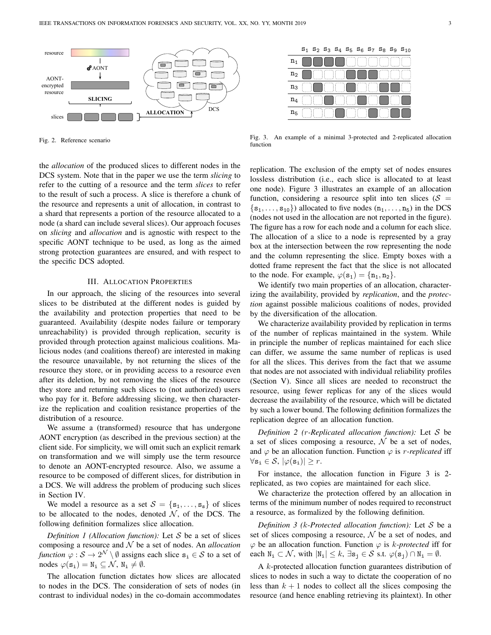

Fig. 2. Reference scenario

the *allocation* of the produced slices to different nodes in the DCS system. Note that in the paper we use the term *slicing* to refer to the cutting of a resource and the term *slices* to refer to the result of such a process. A slice is therefore a chunk of the resource and represents a unit of allocation, in contrast to a shard that represents a portion of the resource allocated to a node (a shard can include several slices). Our approach focuses on *slicing* and *allocation* and is agnostic with respect to the specific AONT technique to be used, as long as the aimed strong protection guarantees are ensured, and with respect to the specific DCS adopted.

## III. ALLOCATION PROPERTIES

In our approach, the slicing of the resources into several slices to be distributed at the different nodes is guided by the availability and protection properties that need to be guaranteed. Availability (despite nodes failure or temporary unreachability) is provided through replication, security is provided through protection against malicious coalitions. Malicious nodes (and coalitions thereof) are interested in making the resource unavailable, by not returning the slices of the resource they store, or in providing access to a resource even after its deletion, by not removing the slices of the resource they store and returning such slices to (not authorized) users who pay for it. Before addressing slicing, we then characterize the replication and coalition resistance properties of the distribution of a resource.

We assume a (transformed) resource that has undergone AONT encryption (as described in the previous section) at the client side. For simplicity, we will omit such an explicit remark on transformation and we will simply use the term resource to denote an AONT-encrypted resource. Also, we assume a resource to be composed of different slices, for distribution in a DCS. We will address the problem of producing such slices in Section IV.

We model a resource as a set  $S = \{s_1, \ldots, s_s\}$  of slices to be allocated to the nodes, denoted  $N$ , of the DCS. The following definition formalizes slice allocation.

*Definition 1 (Allocation function):* Let S be a set of slices composing a resource and N be a set of nodes. An *allocation function*  $\varphi : \mathcal{S} \to 2^{\mathcal{N}} \setminus \emptyset$  assigns each slice  $\mathbf{s}_i \in \mathcal{S}$  to a set of nodes  $\varphi(\mathbf{s_i}) = \mathbf{N_i} \subseteq \mathcal{N}, \mathbf{N_i} \neq \emptyset$ .

The allocation function dictates how slices are allocated to nodes in the DCS. The consideration of sets of nodes (in contrast to individual nodes) in the co-domain accommodates

|                |  |  |  |   |  | $S_1$ $S_2$ $S_3$ $S_4$ $S_5$ $S_6$ $S_7$ $S_8$ $S_9$ $S_{10}$ |
|----------------|--|--|--|---|--|----------------------------------------------------------------|
| $\mathtt{n}_1$ |  |  |  | Ì |  |                                                                |
| ${\tt n}_2$    |  |  |  |   |  |                                                                |
| $\mathtt{n}_3$ |  |  |  |   |  |                                                                |
| $\mathtt{n}_4$ |  |  |  |   |  |                                                                |
| $n_{5}$        |  |  |  |   |  |                                                                |

Fig. 3. An example of a minimal 3-protected and 2-replicated allocation function

replication. The exclusion of the empty set of nodes ensures lossless distribution (i.e., each slice is allocated to at least one node). Figure 3 illustrates an example of an allocation function, considering a resource split into ten slices ( $S =$  $\{s_1, \ldots, s_{10}\}\$  allocated to five nodes  $(n_1, \ldots, n_5)$  in the DCS (nodes not used in the allocation are not reported in the figure). The figure has a row for each node and a column for each slice. The allocation of a slice to a node is represented by a gray box at the intersection between the row representing the node and the column representing the slice. Empty boxes with a dotted frame represent the fact that the slice is not allocated to the node. For example,  $\varphi(\mathbf{s}_1) = \{\mathbf{n}_1, \mathbf{n}_2\}.$ 

We identify two main properties of an allocation, characterizing the availability, provided by *replication*, and the *protection* against possible malicious coalitions of nodes, provided by the diversification of the allocation.

We characterize availability provided by replication in terms of the number of replicas maintained in the system. While in principle the number of replicas maintained for each slice can differ, we assume the same number of replicas is used for all the slices. This derives from the fact that we assume that nodes are not associated with individual reliability profiles (Section V). Since all slices are needed to reconstruct the resource, using fewer replicas for any of the slices would decrease the availability of the resource, which will be dictated by such a lower bound. The following definition formalizes the replication degree of an allocation function.

*Definition 2 (*r*-Replicated allocation function):* Let S be a set of slices composing a resource,  $\mathcal N$  be a set of nodes, and  $\varphi$  be an allocation function. Function  $\varphi$  is *r-replicated* iff  $\forall$ s<sub>i</sub>  $\in$  *S*,  $|\varphi(s_i)| \geq r$ .

For instance, the allocation function in Figure 3 is 2 replicated, as two copies are maintained for each slice.

We characterize the protection offered by an allocation in terms of the minimum number of nodes required to reconstruct a resource, as formalized by the following definition.

*Definition 3 (*k*-Protected allocation function):* Let S be a set of slices composing a resource,  $N$  be a set of nodes, and  $\varphi$  be an allocation function. Function  $\varphi$  is k-protected iff for each  $N_i \subset \mathcal{N}$ , with  $|N_i| \leq k$ ,  $\exists s_j \in \mathcal{S}$  s.t.  $\varphi(s_j) \cap N_i = \emptyset$ .

A k-protected allocation function guarantees distribution of slices to nodes in such a way to dictate the cooperation of no less than  $k + 1$  nodes to collect all the slices composing the resource (and hence enabling retrieving its plaintext). In other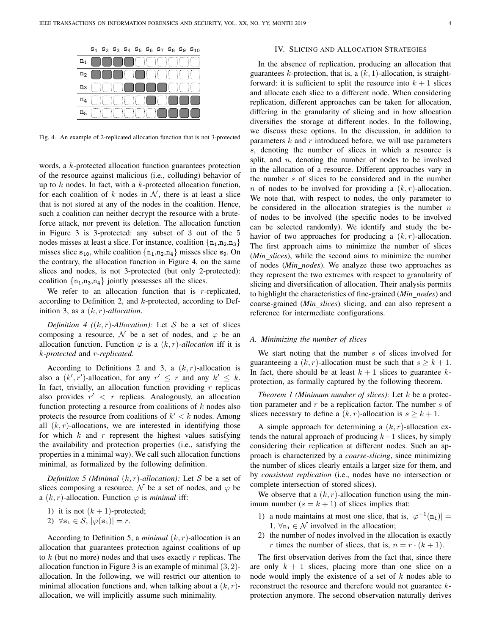|                |  |              |                               |   |   |  | $S_1$ $S_2$ $S_3$ $S_4$ $S_5$ $S_6$ $S_7$ $S_8$ $S_9$ $S_{10}$ |
|----------------|--|--------------|-------------------------------|---|---|--|----------------------------------------------------------------|
| $n_1$          |  |              |                               |   |   |  |                                                                |
| n <sub>2</sub> |  |              |                               |   |   |  |                                                                |
| $n_3$          |  |              |                               |   |   |  |                                                                |
| $n_4$          |  | Ħ            | ٠<br>$\cdot$<br>. .<br>٠<br>٠ |   | Î |  |                                                                |
| n <sub>5</sub> |  | 11<br>٠<br>٠ | . .<br>. .<br>٠               | ÷ |   |  |                                                                |

Fig. 4. An example of 2-replicated allocation function that is not 3-protected

words, a k-protected allocation function guarantees protection of the resource against malicious (i.e., colluding) behavior of up to  $k$  nodes. In fact, with a  $k$ -protected allocation function, for each coalition of k nodes in  $N$ , there is at least a slice that is not stored at any of the nodes in the coalition. Hence, such a coalition can neither decrypt the resource with a bruteforce attack, nor prevent its deletion. The allocation function in Figure 3 is 3-protected: any subset of 3 out of the 5 nodes misses at least a slice. For instance, coalition  $\{n_1, n_2, n_3\}$ misses slice  $s_{10}$ , while coalition  $\{n_1, n_2, n_4\}$  misses slice  $s_9$ . On the contrary, the allocation function in Figure 4, on the same slices and nodes, is not 3-protected (but only 2-protected): coalition  $\{n_1,n_3,n_4\}$  jointly possesses all the slices.

We refer to an allocation function that is  $r$ -replicated, according to Definition 2, and  $k$ -protected, according to Definition 3, as a (k, r)*-allocation*.

*Definition 4* ( $(k, r)$ *-Allocation*): Let S be a set of slices composing a resource, N be a set of nodes, and  $\varphi$  be an allocation function. Function  $\varphi$  is a  $(k, r)$ *-allocation* iff it is k*-protected* and r*-replicated*.

According to Definitions 2 and 3, a  $(k, r)$ -allocation is also a  $(k', r')$ -allocation, for any  $r' \leq r$  and any  $k' \leq k$ . In fact, trivially, an allocation function providing  $r$  replicas also provides  $r' < r$  replicas. Analogously, an allocation function protecting a resource from coalitions of  $k$  nodes also protects the resource from coalitions of  $k' < k$  nodes. Among all  $(k, r)$ -allocations, we are interested in identifying those for which  $k$  and  $r$  represent the highest values satisfying the availability and protection properties (i.e., satisfying the properties in a minimal way). We call such allocation functions minimal, as formalized by the following definition.

*Definition 5 (Minimal*  $(k, r)$ *-allocation):* Let S be a set of slices composing a resource,  $\mathcal N$  be a set of nodes, and  $\varphi$  be a  $(k, r)$ -allocation. Function  $\varphi$  is *minimal* iff:

1) it is not  $(k + 1)$ -protected;

2) 
$$
\forall
$$
**s**<sub>i</sub>  $\in$  S,  $|\varphi(\mathbf{s}_i)| = r$ .

According to Definition 5, a *minimal*  $(k, r)$ -allocation is an allocation that guarantees protection against coalitions of up to  $k$  (but no more) nodes and that uses exactly  $r$  replicas. The allocation function in Figure 3 is an example of minimal  $(3, 2)$ allocation. In the following, we will restrict our attention to minimal allocation functions and, when talking about a  $(k, r)$ allocation, we will implicitly assume such minimality.

# IV. SLICING AND ALLOCATION STRATEGIES

In the absence of replication, producing an allocation that guarantees k-protection, that is, a  $(k, 1)$ -allocation, is straightforward: it is sufficient to split the resource into  $k + 1$  slices and allocate each slice to a different node. When considering replication, different approaches can be taken for allocation, differing in the granularity of slicing and in how allocation diversifies the storage at different nodes. In the following, we discuss these options. In the discussion, in addition to parameters  $k$  and  $r$  introduced before, we will use parameters s, denoting the number of slices in which a resource is split, and  $n$ , denoting the number of nodes to be involved in the allocation of a resource. Different approaches vary in the number s of slices to be considered and in the number n of nodes to be involved for providing a  $(k, r)$ -allocation. We note that, with respect to nodes, the only parameter to be considered in the allocation strategies is the number  $n$ of nodes to be involved (the specific nodes to be involved can be selected randomly). We identify and study the behavior of two approaches for producing a  $(k, r)$ -allocation. The first approach aims to minimize the number of slices (*Min slices*), while the second aims to minimize the number of nodes (*Min nodes*). We analyze these two approaches as they represent the two extremes with respect to granularity of slicing and diversification of allocation. Their analysis permits to highlight the characteristics of fine-grained (*Min nodes*) and coarse-grained (*Min slices*) slicing, and can also represent a reference for intermediate configurations.

#### *A. Minimizing the number of slices*

We start noting that the number  $s$  of slices involved for guaranteeing a  $(k, r)$ -allocation must be such that  $s > k + 1$ . In fact, there should be at least  $k + 1$  slices to guarantee kprotection, as formally captured by the following theorem.

*Theorem 1 (Minimum number of slices):* Let k be a protection parameter and  $r$  be a replication factor. The number  $s$  of slices necessary to define a  $(k, r)$ -allocation is  $s \geq k + 1$ .

A simple approach for determining a  $(k, r)$ -allocation extends the natural approach of producing  $k+1$  slices, by simply considering their replication at different nodes. Such an approach is characterized by a *coarse-slicing*, since minimizing the number of slices clearly entails a larger size for them, and by *consistent replication* (i.e., nodes have no intersection or complete intersection of stored slices).

We observe that a  $(k, r)$ -allocation function using the minimum number  $(s = k + 1)$  of slices implies that:

- 1) a node maintains at most one slice, that is,  $|\varphi^{-1}(n_i)| =$ 1,  $\forall n_i \in \mathcal{N}$  involved in the allocation;
- 2) the number of nodes involved in the allocation is exactly r times the number of slices, that is,  $n = r \cdot (k + 1)$ .

The first observation derives from the fact that, since there are only  $k + 1$  slices, placing more than one slice on a node would imply the existence of a set of  $k$  nodes able to reconstruct the resource and therefore would not guarantee kprotection anymore. The second observation naturally derives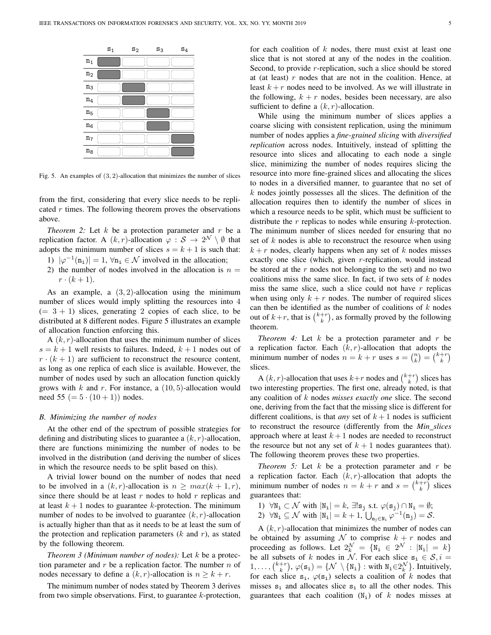|                | $S_1$ | s <sub>2</sub> | $S_3$ | $S_4$ |
|----------------|-------|----------------|-------|-------|
| $\mathtt{n}_1$ |       |                |       |       |
| $\mathtt{n}_2$ |       |                |       |       |
| $n_3$          |       |                |       |       |
| $n_4$          |       |                |       |       |
| $n_5$          |       |                |       |       |
| $\mathtt{n}_6$ |       |                |       |       |
| $n_7$          |       |                |       |       |
| $n_8$          |       |                |       |       |

Fig. 5. An examples of  $(3, 2)$ -allocation that minimizes the number of slices

from the first, considering that every slice needs to be replicated  $r$  times. The following theorem proves the observations above.

*Theorem 2:* Let  $k$  be a protection parameter and  $r$  be a replication factor. A  $(k, r)$ -allocation  $\varphi : \mathcal{S} \to 2^{\mathcal{N}} \setminus \emptyset$  that adopts the minimum number of slices  $s = k + 1$  is such that:

- 1)  $|\varphi^{-1}(n_i)| = 1$ ,  $\forall n_i \in \mathcal{N}$  involved in the allocation;
- 2) the number of nodes involved in the allocation is  $n =$  $r \cdot (k+1)$ .

As an example, a  $(3, 2)$ -allocation using the minimum number of slices would imply splitting the resources into 4  $(= 3 + 1)$  slices, generating 2 copies of each slice, to be distributed at 8 different nodes. Figure 5 illustrates an example of allocation function enforcing this.

A  $(k, r)$ -allocation that uses the minimum number of slices  $s = k + 1$  well resists to failures. Indeed,  $k + 1$  nodes out of  $r \cdot (k+1)$  are sufficient to reconstruct the resource content, as long as one replica of each slice is available. However, the number of nodes used by such an allocation function quickly grows with  $k$  and  $r$ . For instance, a  $(10, 5)$ -allocation would need 55 ( $= 5 \cdot (10 + 1)$ ) nodes.

#### *B. Minimizing the number of nodes*

At the other end of the spectrum of possible strategies for defining and distributing slices to guarantee a  $(k, r)$ -allocation, there are functions minimizing the number of nodes to be involved in the distribution (and deriving the number of slices in which the resource needs to be split based on this).

A trivial lower bound on the number of nodes that need to be involved in a  $(k, r)$ -allocation is  $n > max(k + 1, r)$ , since there should be at least  $r$  nodes to hold  $r$  replicas and at least  $k+1$  nodes to guarantee k-protection. The minimum number of nodes to be involved to guarantee  $(k, r)$ -allocation is actually higher than that as it needs to be at least the sum of the protection and replication parameters  $(k \text{ and } r)$ , as stated by the following theorem.

*Theorem 3 (Minimum number of nodes):* Let k be a protection parameter and  $r$  be a replication factor. The number  $n$  of nodes necessary to define a  $(k, r)$ -allocation is  $n \geq k + r$ .

The minimum number of nodes stated by Theorem 3 derives from two simple observations. First, to guarantee  $k$ -protection, for each coalition of  $k$  nodes, there must exist at least one slice that is not stored at any of the nodes in the coalition. Second, to provide *r*-replication, such a slice should be stored at (at least)  $r$  nodes that are not in the coalition. Hence, at least  $k + r$  nodes need to be involved. As we will illustrate in the following,  $k + r$  nodes, besides been necessary, are also sufficient to define a  $(k, r)$ -allocation.

While using the minimum number of slices applies a coarse slicing with consistent replication, using the minimum number of nodes applies a *fine-grained slicing* with *diversified replication* across nodes. Intuitively, instead of splitting the resource into slices and allocating to each node a single slice, minimizing the number of nodes requires slicing the resource into more fine-grained slices and allocating the slices to nodes in a diversified manner, to guarantee that no set of  $k$  nodes jointly possesses all the slices. The definition of the allocation requires then to identify the number of slices in which a resource needs to be split, which must be sufficient to distribute the  $r$  replicas to nodes while ensuring  $k$ -protection. The minimum number of slices needed for ensuring that no set of  $k$  nodes is able to reconstruct the resource when using  $k + r$  nodes, clearly happens when any set of k nodes misses exactly one slice (which, given  $r$ -replication, would instead be stored at the  $r$  nodes not belonging to the set) and no two coalitions miss the same slice. In fact, if two sets of  $k$  nodes miss the same slice, such a slice could not have  $r$  replicas when using only  $k + r$  nodes. The number of required slices can then be identified as the number of coalitions of  $k$  nodes out of  $k+r$ , that is  $\binom{k+r}{k}$ , as formally proved by the following theorem.

*Theorem 4:* Let  $k$  be a protection parameter and  $r$  be a replication factor. Each  $(k, r)$ -allocation that adopts the minimum number of nodes  $n = k + r$  uses  $s = \binom{n}{k} = \binom{k+r}{k}$ slices.

A  $(k, r)$ -allocation that uses  $k+r$  nodes and  $\binom{k+r}{k}$  slices has two interesting properties. The first one, already noted, is that any coalition of k nodes *misses exactly one* slice. The second one, deriving from the fact that the missing slice is different for different coalitions, is that *any* set of  $k+1$  nodes is sufficient to reconstruct the resource (differently from the *Min slices* approach where at least  $k+1$  nodes are needed to reconstruct the resource but not any set of  $k + 1$  nodes guarantees that). The following theorem proves these two properties.

*Theorem 5:* Let  $k$  be a protection parameter and  $r$  be a replication factor. Each  $(k, r)$ -allocation that adopts the minimum number of nodes  $n = k + r$  and  $s = \binom{k+r}{k}$  slices guarantees that:

- 1)  $\forall N_i \subset \mathcal{N}$  with  $|N_i| = k$ ,  $\exists ! s_j$  s.t.  $\varphi(s_j) \cap N_i = \emptyset$ ;
- 2)  $\forall N_i \subseteq \mathcal{N}$  with  $|N_i| = k+1$ ,  $\bigcup_{n_j \in N_i} \varphi^{-1}(n_j) = \mathcal{S}$ .

A  $(k, r)$ -allocation that minimizes the number of nodes can be obtained by assuming  $N$  to comprise  $k + r$  nodes and proceeding as follows. Let  $2_k^{\mathcal{N}} = \{ \mathbb{N}_i \in 2^{\mathcal{N}} : |\mathbb{N}_i| = k \}$ be all subsets of k nodes in N. For each slice  $s_i \in S$ ,  $i =$  $1, \ldots, \binom{k+r}{k}, \varphi(\mathbf{s}_1) = \{ \mathcal{N} \setminus \{ \mathbb{N}_1 \} : \text{with } \mathbb{N}_1 \in 2_k^{\mathcal{N}} \}.$  Intuitively, for each slice  $s_i$ ,  $\varphi(s_i)$  selects a coalition of k nodes that misses  $s_i$  and allocates slice  $s_i$  to all the other nodes. This guarantees that each coalition  $(N_i)$  of k nodes misses at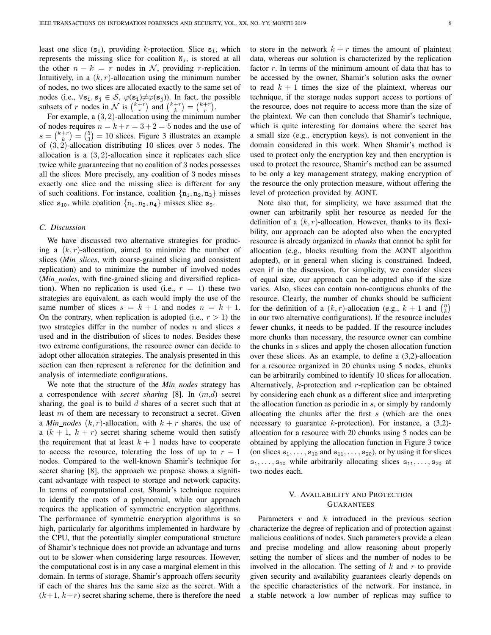least one slice  $(s_i)$ , providing k-protection. Slice  $s_i$ , which represents the missing slice for coalition  $N_i$ , is stored at all the other  $n - k = r$  nodes in N, providing r-replication. Intuitively, in a  $(k, r)$ -allocation using the minimum number of nodes, no two slices are allocated exactly to the same set of nodes (i.e.,  $\forall s_i, s_j \in S$ ,  $\varphi(s_i) \neq \varphi(s_j)$ ). In fact, the possible subsets of r nodes in N is  $\binom{k+r}{r}$  and  $\binom{k+r}{k} = \binom{k+r}{r}$ .

For example, a  $(3, 2)$ -allocation using the minimum number of nodes requires  $n = k + r = 3 + 2 = 5$  nodes and the use of  $s = \binom{k+r}{k} = \binom{5}{3} = 10$  slices. Figure 3 illustrates an example of (3, 2)-allocation distributing 10 slices over 5 nodes. The allocation is a  $(3, 2)$ -allocation since it replicates each slice twice while guaranteeing that no coalition of 3 nodes possesses all the slices. More precisely, any coalition of 3 nodes misses exactly one slice and the missing slice is different for any of such coalitions. For instance, coalition  $\{n_1, n_2, n_3\}$  misses slice  $s_{10}$ , while coalition  $\{n_1, n_2, n_4\}$  misses slice  $s_9$ .

# *C. Discussion*

We have discussed two alternative strategies for producing a  $(k, r)$ -allocation, aimed to minimize the number of slices (*Min slices*, with coarse-grained slicing and consistent replication) and to minimize the number of involved nodes (*Min nodes*, with fine-grained slicing and diversified replication). When no replication is used (i.e.,  $r = 1$ ) these two strategies are equivalent, as each would imply the use of the same number of slices  $s = k + 1$  and nodes  $n = k + 1$ . On the contrary, when replication is adopted (i.e.,  $r > 1$ ) the two strategies differ in the number of nodes  $n$  and slices  $s$ used and in the distribution of slices to nodes. Besides these two extreme configurations, the resource owner can decide to adopt other allocation strategies. The analysis presented in this section can then represent a reference for the definition and analysis of intermediate configurations.

We note that the structure of the *Min nodes* strategy has a correspondence with *secret sharing* [8]. In (m,d) secret sharing, the goal is to build  $d$  shares of a secret such that at least  $m$  of them are necessary to reconstruct a secret. Given a *Min\_nodes*  $(k, r)$ -allocation, with  $k + r$  shares, the use of a  $(k + 1, k + r)$  secret sharing scheme would then satisfy the requirement that at least  $k + 1$  nodes have to cooperate to access the resource, tolerating the loss of up to  $r - 1$ nodes. Compared to the well-known Shamir's technique for secret sharing [8], the approach we propose shows a significant advantage with respect to storage and network capacity. In terms of computational cost, Shamir's technique requires to identify the roots of a polynomial, while our approach requires the application of symmetric encryption algorithms. The performance of symmetric encryption algorithms is so high, particularly for algorithms implemented in hardware by the CPU, that the potentially simpler computational structure of Shamir's technique does not provide an advantage and turns out to be slower when considering large resources. However, the computational cost is in any case a marginal element in this domain. In terms of storage, Shamir's approach offers security if each of the shares has the same size as the secret. With a  $(k+1, k+r)$  secret sharing scheme, there is therefore the need

to store in the network  $k + r$  times the amount of plaintext data, whereas our solution is characterized by the replication factor r. In terms of the minimum amount of data that has to be accessed by the owner, Shamir's solution asks the owner to read  $k + 1$  times the size of the plaintext, whereas our technique, if the storage nodes support access to portions of the resource, does not require to access more than the size of the plaintext. We can then conclude that Shamir's technique, which is quite interesting for domains where the secret has a small size (e.g., encryption keys), is not convenient in the domain considered in this work. When Shamir's method is used to protect only the encryption key and then encryption is used to protect the resource, Shamir's method can be assumed to be only a key management strategy, making encryption of the resource the only protection measure, without offering the level of protection provided by AONT.

Note also that, for simplicity, we have assumed that the owner can arbitrarily split her resource as needed for the definition of a  $(k, r)$ -allocation. However, thanks to its flexibility, our approach can be adopted also when the encrypted resource is already organized in *chunks* that cannot be split for allocation (e.g., blocks resulting from the AONT algorithm adopted), or in general when slicing is constrained. Indeed, even if in the discussion, for simplicity, we consider slices of equal size, our approach can be adopted also if the size varies. Also, slices can contain non-contiguous chunks of the resource. Clearly, the number of chunks should be sufficient for the definition of a  $(k, r)$ -allocation (e.g.,  $k + 1$  and  $\binom{n}{k}$ ) in our two alternative configurations). If the resource includes fewer chunks, it needs to be padded. If the resource includes more chunks than necessary, the resource owner can combine the chunks in s slices and apply the chosen allocation function over these slices. As an example, to define a (3,2)-allocation for a resource organized in 20 chunks using 5 nodes, chunks can be arbitrarily combined to identify 10 slices for allocation. Alternatively, k-protection and r-replication can be obtained by considering each chunk as a different slice and interpreting the allocation function as periodic in s, or simply by randomly allocating the chunks after the first  $s$  (which are the ones necessary to guarantee  $k$ -protection). For instance, a  $(3,2)$ allocation for a resource with 20 chunks using 5 nodes can be obtained by applying the allocation function in Figure 3 twice (on slices  $s_1, \ldots, s_{10}$  and  $s_{11}, \ldots, s_{20}$ ), or by using it for slices  $s_1, \ldots, s_{10}$  while arbitrarily allocating slices  $s_{11}, \ldots, s_{20}$  at two nodes each.

## V. AVAILABILITY AND PROTECTION GUARANTEES

Parameters  $r$  and  $k$  introduced in the previous section characterize the degree of replication and of protection against malicious coalitions of nodes. Such parameters provide a clean and precise modeling and allow reasoning about properly setting the number of slices and the number of nodes to be involved in the allocation. The setting of  $k$  and  $r$  to provide given security and availability guarantees clearly depends on the specific characteristics of the network. For instance, in a stable network a low number of replicas may suffice to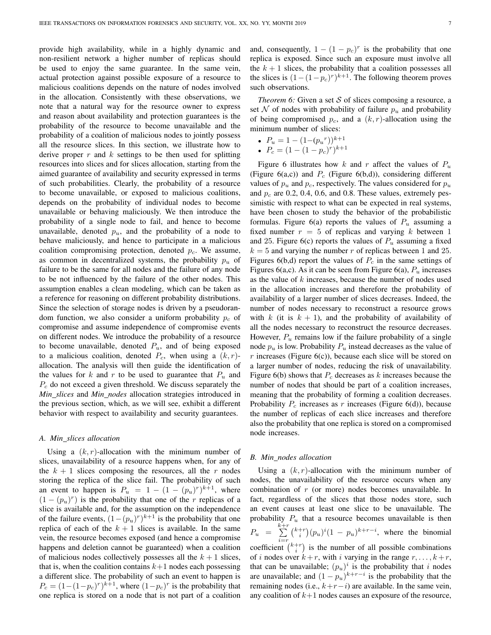provide high availability, while in a highly dynamic and non-resilient network a higher number of replicas should be used to enjoy the same guarantee. In the same vein, actual protection against possible exposure of a resource to malicious coalitions depends on the nature of nodes involved in the allocation. Consistently with these observations, we note that a natural way for the resource owner to express and reason about availability and protection guarantees is the probability of the resource to become unavailable and the probability of a coalition of malicious nodes to jointly possess all the resource slices. In this section, we illustrate how to derive proper  $r$  and  $k$  settings to be then used for splitting resources into slices and for slices allocation, starting from the aimed guarantee of availability and security expressed in terms of such probabilities. Clearly, the probability of a resource to become unavailable, or exposed to malicious coalitions, depends on the probability of individual nodes to become unavailable or behaving maliciously. We then introduce the probability of a single node to fail, and hence to become unavailable, denoted  $p_u$ , and the probability of a node to behave maliciously, and hence to participate in a malicious coalition compromising protection, denoted  $p<sub>c</sub>$ . We assume, as common in decentralized systems, the probability  $p_u$  of failure to be the same for all nodes and the failure of any node to be not influenced by the failure of the other nodes. This assumption enables a clean modeling, which can be taken as a reference for reasoning on different probability distributions. Since the selection of storage nodes is driven by a pseudorandom function, we also consider a uniform probability  $p_c$  of compromise and assume independence of compromise events on different nodes. We introduce the probability of a resource to become unavailable, denoted  $P_u$ , and of being exposed to a malicious coalition, denoted  $P_c$ , when using a  $(k, r)$ allocation. The analysis will then guide the identification of the values for k and r to be used to guarantee that  $P_u$  and  $P_c$  do not exceed a given threshold. We discuss separately the *Min slices* and *Min nodes* allocation strategies introduced in the previous section, which, as we will see, exhibit a different behavior with respect to availability and security guarantees.

#### *A. Min slices allocation*

Using a  $(k, r)$ -allocation with the minimum number of slices, unavailability of a resource happens when, for any of the  $k + 1$  slices composing the resources, all the r nodes storing the replica of the slice fail. The probability of such an event to happen is  $P_u = 1 - (1 - (p_u)^r)^{k+1}$ , where  $(1 - (p_u)^r)$  is the probability that one of the r replicas of a slice is available and, for the assumption on the independence of the failure events,  $(1 - (p_u)^r)^{k+1}$  is the probability that one replica of each of the  $k + 1$  slices is available. In the same vein, the resource becomes exposed (and hence a compromise happens and deletion cannot be guaranteed) when a coalition of malicious nodes collectively possesses all the  $k + 1$  slices, that is, when the coalition contains  $k+1$  nodes each possessing a different slice. The probability of such an event to happen is  $P_c = (1 - (1 - p_c)^r)^{k+1}$ , where  $(1 - p_c)^r$  is the probability that one replica is stored on a node that is not part of a coalition

and, consequently,  $1 - (1 - p_c)^r$  is the probability that one replica is exposed. Since such an exposure must involve all the  $k + 1$  slices, the probability that a coalition possesses all the slices is  $(1 - (1 - p_c)^r)^{k+1}$ . The following theorem proves such observations.

*Theorem 6:* Given a set  $S$  of slices composing a resource, a set N of nodes with probability of failure  $p_u$  and probability of being compromised  $p_c$ , and a  $(k, r)$ -allocation using the minimum number of slices:

• 
$$
P_u = 1 - (1 - (p_u^r))^{k+1}
$$
  
\n•  $P_c = (1 - (1 - p_c)^r)^{k+1}$ 

Figure 6 illustrates how k and r affect the values of  $P_u$ (Figure 6(a,c)) and  $P_c$  (Figure 6(b,d)), considering different values of  $p_u$  and  $p_c$ , respectively. The values considered for  $p_u$ and  $p_c$  are 0.2, 0.4, 0.6, and 0.8. These values, extremely pessimistic with respect to what can be expected in real systems, have been chosen to study the behavior of the probabilistic formulas. Figure 6(a) reports the values of  $P_u$  assuming a fixed number  $r = 5$  of replicas and varying k between 1 and 25. Figure 6(c) reports the values of  $P_u$  assuming a fixed  $k = 5$  and varying the number r of replicas between 1 and 25. Figures 6(b,d) report the values of  $P_c$  in the same settings of Figures 6(a,c). As it can be seen from Figure 6(a),  $P_u$  increases as the value of  $k$  increases, because the number of nodes used in the allocation increases and therefore the probability of availability of a larger number of slices decreases. Indeed, the number of nodes necessary to reconstruct a resource grows with k (it is  $k + 1$ ), and the probability of availability of all the nodes necessary to reconstruct the resource decreases. However,  $P_u$  remains low if the failure probability of a single node  $p_u$  is low. Probability  $P_u$  instead decreases as the value of  $r$  increases (Figure 6(c)), because each slice will be stored on a larger number of nodes, reducing the risk of unavailability. Figure 6(b) shows that  $P_c$  decreases as k increases because the number of nodes that should be part of a coalition increases, meaning that the probability of forming a coalition decreases. Probability  $P_c$  increases as r increases (Figure 6(d)), because the number of replicas of each slice increases and therefore also the probability that one replica is stored on a compromised node increases.

## *B. Min nodes allocation*

Using a  $(k, r)$ -allocation with the minimum number of nodes, the unavailability of the resource occurs when any combination of r (or more) nodes becomes unavailable. In fact, regardless of the slices that those nodes store, such an event causes at least one slice to be unavailable. The probability  $P_u$  that a resource becomes unavailable is then  $P_u = \sum^{k+r}$  $i=r$  $\binom{k+r}{i}(p_u)^i(1-p_u)^{k+r-i}$ , where the binomial coefficient  $\binom{k+r}{i}$  is the number of all possible combinations of i nodes over  $k+r$ , with i varying in the range  $r, \ldots, k+r$ , that can be unavailable;  $(p_u)^i$  is the probability that i nodes are unavailable; and  $(1 - p_u)^{k+r-i}$  is the probability that the remaining nodes (i.e.,  $k+r-i$ ) are available. In the same vein, any coalition of  $k+1$  nodes causes an exposure of the resource,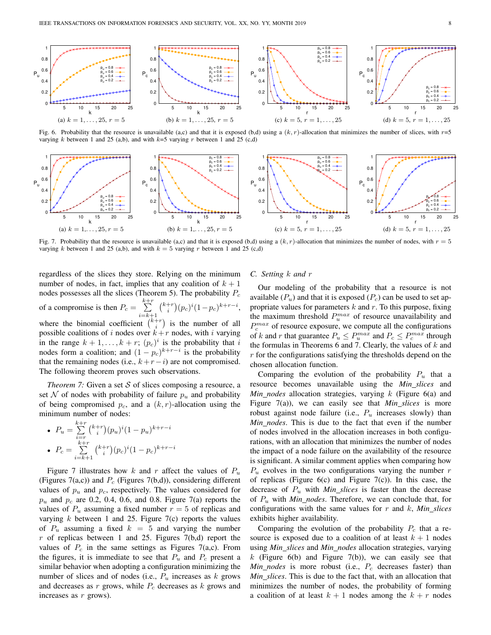

Fig. 6. Probability that the resource is unavailable (a,c) and that it is exposed (b,d) using a  $(k, r)$ -allocation that minimizes the number of slices, with  $r=5$ varying  $k$  between 1 and 25 (a,b), and with  $k=5$  varying  $r$  between 1 and 25 (c,d)



Fig. 7. Probability that the resource is unavailable (a,c) and that it is exposed (b,d) using a  $(k, r)$ -allocation that minimizes the number of nodes, with  $r = 5$ varying k between 1 and 25 (a,b), and with  $k = 5$  varying r between 1 and 25 (c,d)

regardless of the slices they store. Relying on the minimum number of nodes, in fact, implies that any coalition of  $k + 1$ nodes possesses all the slices (Theorem 5). The probability  $P_c$ of a compromise is then  $P_c = \sum_{r=1}^{k+r}$  $i=k+1$  $\binom{k+r}{i}(p_c)^i(1-p_c)^{k+r-i},$ where the binomial coefficient  $\binom{k+r}{i}$  is the number of all possible coalitions of i nodes over  $k+r$  nodes, with i varying in the range  $k + 1, \ldots, k + r$ ;  $(p_c)^i$  is the probability that i nodes form a coalition; and  $(1 - p_c)^{k+r-i}$  is the probability that the remaining nodes (i.e.,  $k+r-i$ ) are not compromised. The following theorem proves such observations.

*Theorem 7:* Given a set S of slices composing a resource, a set N of nodes with probability of failure  $p_u$  and probability of being compromised  $p_c$ , and a  $(k, r)$ -allocation using the minimum number of nodes:

• 
$$
P_u = \sum_{i=r}^{k+r} {k+r \choose i} (p_u)^i (1-p_u)^{k+r-i}
$$
  
\n•  $P_c = \sum_{i=k+1}^{k+r} {k+r \choose i} (p_c)^i (1-p_c)^{k+r-i}$ 

Figure 7 illustrates how k and r affect the values of  $P_u$ (Figures 7(a,c)) and  $P_c$  (Figures 7(b,d)), considering different values of  $p_u$  and  $p_c$ , respectively. The values considered for  $p_u$  and  $p_c$  are 0.2, 0.4, 0.6, and 0.8. Figure 7(a) reports the values of  $P_u$  assuming a fixed number  $r = 5$  of replicas and varying  $k$  between 1 and 25. Figure 7(c) reports the values of  $P_u$  assuming a fixed  $k = 5$  and varying the number  $r$  of replicas between 1 and 25. Figures 7(b,d) report the values of  $P_c$  in the same settings as Figures 7(a,c). From the figures, it is immediate to see that  $P_u$  and  $P_c$  present a similar behavior when adopting a configuration minimizing the number of slices and of nodes (i.e.,  $P_u$  increases as  $k$  grows and decreases as  $r$  grows, while  $P_c$  decreases as  $k$  grows and increases as  $r$  grows).

## *C. Setting* k *and* r

Our modeling of the probability that a resource is not available  $(P_u)$  and that it is exposed  $(P_c)$  can be used to set appropriate values for parameters  $k$  and  $r$ . To this purpose, fixing the maximum threshold  $P_u^{max}$  of resource unavailability and  $P_c^{max}$  of resource exposure, we compute all the configurations of k and r that guarantee  $P_u \le P_u^{max}$  and  $P_c \le P_c^{max}$  through the formulas in Theorems 6 and 7. Clearly, the values of  $k$  and r for the configurations satisfying the thresholds depend on the chosen allocation function.

Comparing the evolution of the probability  $P_u$  that a resource becomes unavailable using the *Min slices* and *Min\_nodes* allocation strategies, varying k (Figure 6(a) and Figure 7(a)), we can easily see that *Min slices* is more robust against node failure (i.e.,  $P_u$  increases slowly) than *Min nodes*. This is due to the fact that even if the number of nodes involved in the allocation increases in both configurations, with an allocation that minimizes the number of nodes the impact of a node failure on the availability of the resource is significant. A similar comment applies when comparing how  $P_u$  evolves in the two configurations varying the number  $r$ of replicas (Figure  $6(c)$  and Figure  $7(c)$ ). In this case, the decrease of  $P_u$  with *Min\_slices* is faster than the decrease of P<sup>u</sup> with *Min nodes*. Therefore, we can conclude that, for configurations with the same values for r and k, *Min slices* exhibits higher availability.

Comparing the evolution of the probability  $P_c$  that a resource is exposed due to a coalition of at least  $k + 1$  nodes using *Min slices* and *Min nodes* allocation strategies, varying k (Figure 6(b) and Figure 7(b)), we can easily see that  $Min\_nodes$  is more robust (i.e.,  $P_c$  decreases faster) than *Min slices*. This is due to the fact that, with an allocation that minimizes the number of nodes, the probability of forming a coalition of at least  $k + 1$  nodes among the  $k + r$  nodes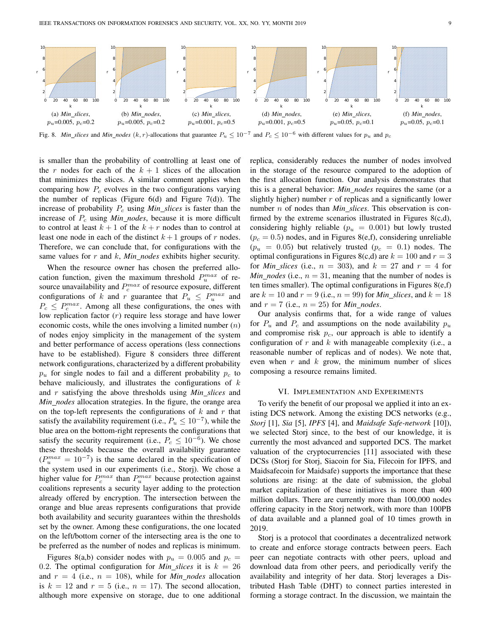

Fig. 8. *Min\_slices* and *Min\_nodes* (k, r)-allocations that guarantee  $P_u \le 10^{-7}$  and  $P_c \le 10^{-6}$  with different values for  $p_u$  and  $p_c$ 

is smaller than the probability of controlling at least one of the r nodes for each of the  $k + 1$  slices of the allocation that minimizes the slices. A similar comment applies when comparing how  $P_c$  evolves in the two configurations varying the number of replicas (Figure  $6(d)$  and Figure  $7(d)$ ). The increase of probability  $P_c$  using *Min\_slices* is faster than the increase of  $P_c$  using *Min\_nodes*, because it is more difficult to control at least  $k + 1$  of the  $k + r$  nodes than to control at least one node in each of the distinct  $k+1$  groups of r nodes. Therefore, we can conclude that, for configurations with the same values for r and k, *Min nodes* exhibits higher security.

When the resource owner has chosen the preferred allocation function, given the maximum threshold  $P_u^{max}$  of resource unavailability and  $P_c^{max}$  of resource exposure, different configurations of k and r guarantee that  $P_u \n\leq P_u^{max}$  and  $P_c \leq P_c^{max}$ . Among all these configurations, the ones with low replication factor  $(r)$  require less storage and have lower economic costs, while the ones involving a limited number  $(n)$ of nodes enjoy simplicity in the management of the system and better performance of access operations (less connections have to be established). Figure 8 considers three different network configurations, characterized by a different probability  $p_u$  for single nodes to fail and a different probability  $p_c$  to behave maliciously, and illustrates the configurations of  $k$ and r satisfying the above thresholds using *Min slices* and *Min nodes* allocation strategies. In the figure, the orange area on the top-left represents the configurations of  $k$  and  $r$  that satisfy the availability requirement (i.e.,  $P_u \leq 10^{-7}$ ), while the blue area on the bottom-right represents the configurations that satisfy the security requirement (i.e.,  $P_c \leq 10^{-6}$ ). We chose these thresholds because the overall availability guarantee  $(P_u^{max} = 10^{-7})$  is the same declared in the specification of the system used in our experiments (i.e., Storj). We chose a higher value for  $P_c^{max}$  than  $P_u^{max}$  because protection against coalitions represents a security layer adding to the protection already offered by encryption. The intersection between the orange and blue areas represents configurations that provide both availability and security guarantees within the thresholds set by the owner. Among these configurations, the one located on the left/bottom corner of the intersecting area is the one to be preferred as the number of nodes and replicas is minimum.

Figures 8(a,b) consider nodes with  $p_u = 0.005$  and  $p_c =$ 0.2. The optimal configuration for *Min\_slices* it is  $k = 26$ and  $r = 4$  (i.e.,  $n = 108$ ), while for *Min\_nodes* allocation is  $k = 12$  and  $r = 5$  (i.e.,  $n = 17$ ). The second allocation, although more expensive on storage, due to one additional replica, considerably reduces the number of nodes involved in the storage of the resource compared to the adoption of the first allocation function. Our analysis demonstrates that this is a general behavior: *Min nodes* requires the same (or a slightly higher) number  $r$  of replicas and a significantly lower number n of nodes than *Min slices*. This observation is confirmed by the extreme scenarios illustrated in Figures 8(c,d), considering highly reliable ( $p_u = 0.001$ ) but lowly trusted  $(p_c = 0.5)$  nodes, and in Figures 8(e,f), considering unreliable  $(p_u = 0.05)$  but relatively trusted  $(p_c = 0.1)$  nodes. The optimal configurations in Figures 8(c,d) are  $k = 100$  and  $r = 3$ for *Min\_slices* (i.e.,  $n = 303$ ), and  $k = 27$  and  $r = 4$  for  $Min\_nodes$  (i.e.,  $n = 31$ , meaning that the number of nodes is ten times smaller). The optimal configurations in Figures  $8(e,f)$ are  $k = 10$  and  $r = 9$  (i.e.,  $n = 99$ ) for *Min\_slices*, and  $k = 18$ and  $r = 7$  (i.e.,  $n = 25$ ) for *Min\_nodes*.

Our analysis confirms that, for a wide range of values for  $P_u$  and  $P_c$  and assumptions on the node availability  $p_u$ and compromise risk  $p<sub>c</sub>$ , our approach is able to identify a configuration of  $r$  and  $k$  with manageable complexity (i.e., a reasonable number of replicas and of nodes). We note that, even when  $r$  and  $k$  grow, the minimum number of slices composing a resource remains limited.

## VI. IMPLEMENTATION AND EXPERIMENTS

To verify the benefit of our proposal we applied it into an existing DCS network. Among the existing DCS networks (e.g., *Storj* [1], *Sia* [5], *IPFS* [4], and *Maidsafe Safe-network* [10]), we selected Storj since, to the best of our knowledge, it is currently the most advanced and supported DCS. The market valuation of the cryptocurrencies [11] associated with these DCSs (Storj for Storj, Siacoin for Sia, Filecoin for IPFS, and Maidsafecoin for Maidsafe) supports the importance that these solutions are rising: at the date of submission, the global market capitalization of these initiatives is more than 400 million dollars. There are currently more than 100,000 nodes offering capacity in the Storj network, with more than 100PB of data available and a planned goal of 10 times growth in 2019.

Storj is a protocol that coordinates a decentralized network to create and enforce storage contracts between peers. Each peer can negotiate contracts with other peers, upload and download data from other peers, and periodically verify the availability and integrity of her data. Storj leverages a Distributed Hash Table (DHT) to connect parties interested in forming a storage contract. In the discussion, we maintain the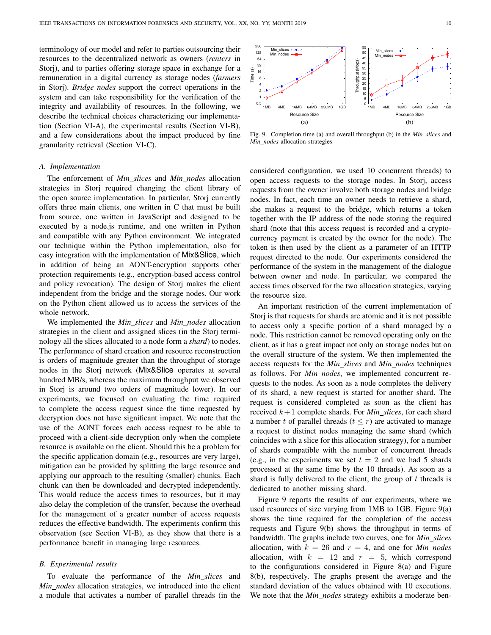terminology of our model and refer to parties outsourcing their resources to the decentralized network as owners (*renters* in Storj), and to parties offering storage space in exchange for a remuneration in a digital currency as storage nodes (*farmers* in Storj). *Bridge nodes* support the correct operations in the system and can take responsibility for the verification of the integrity and availability of resources. In the following, we describe the technical choices characterizing our implementation (Section VI-A), the experimental results (Section VI-B), and a few considerations about the impact produced by fine granularity retrieval (Section VI-C).

#### *A. Implementation*

The enforcement of *Min slices* and *Min nodes* allocation strategies in Storj required changing the client library of the open source implementation. In particular, Storj currently offers three main clients, one written in C that must be built from source, one written in JavaScript and designed to be executed by a node.js runtime, and one written in Python and compatible with any Python environment. We integrated our technique within the Python implementation, also for easy integration with the implementation of Mix&Slice, which in addition of being an AONT-encryption supports other protection requirements (e.g., encryption-based access control and policy revocation). The design of Storj makes the client independent from the bridge and the storage nodes. Our work on the Python client allowed us to access the services of the whole network.

We implemented the *Min slices* and *Min nodes* allocation strategies in the client and assigned slices (in the Storj terminology all the slices allocated to a node form a *shard*) to nodes. The performance of shard creation and resource reconstruction is orders of magnitude greater than the throughput of storage nodes in the Storj network (Mix&Slice operates at several hundred MB/s, whereas the maximum throughput we observed in Storj is around two orders of magnitude lower). In our experiments, we focused on evaluating the time required to complete the access request since the time requested by decryption does not have significant impact. We note that the use of the AONT forces each access request to be able to proceed with a client-side decryption only when the complete resource is available on the client. Should this be a problem for the specific application domain (e.g., resources are very large), mitigation can be provided by splitting the large resource and applying our approach to the resulting (smaller) chunks. Each chunk can then be downloaded and decrypted independently. This would reduce the access times to resources, but it may also delay the completion of the transfer, because the overhead for the management of a greater number of access requests reduces the effective bandwidth. The experiments confirm this observation (see Section VI-B), as they show that there is a performance benefit in managing large resources.

#### *B. Experimental results*

To evaluate the performance of the *Min slices* and *Min nodes* allocation strategies, we introduced into the client a module that activates a number of parallel threads (in the



Fig. 9. Completion time (a) and overall throughput (b) in the *Min slices* and *Min nodes* allocation strategies

considered configuration, we used 10 concurrent threads) to open access requests to the storage nodes. In Storj, access requests from the owner involve both storage nodes and bridge nodes. In fact, each time an owner needs to retrieve a shard, she makes a request to the bridge, which returns a token together with the IP address of the node storing the required shard (note that this access request is recorded and a cryptocurrency payment is created by the owner for the node). The token is then used by the client as a parameter of an HTTP request directed to the node. Our experiments considered the performance of the system in the management of the dialogue between owner and node. In particular, we compared the access times observed for the two allocation strategies, varying the resource size.

An important restriction of the current implementation of Storj is that requests for shards are atomic and it is not possible to access only a specific portion of a shard managed by a node. This restriction cannot be removed operating only on the client, as it has a great impact not only on storage nodes but on the overall structure of the system. We then implemented the access requests for the *Min slices* and *Min nodes* techniques as follows. For *Min nodes*, we implemented concurrent requests to the nodes. As soon as a node completes the delivery of its shard, a new request is started for another shard. The request is considered completed as soon as the client has received  $k+1$  complete shards. For *Min\_slices*, for each shard a number t of parallel threads  $(t \leq r)$  are activated to manage a request to distinct nodes managing the same shard (which coincides with a slice for this allocation strategy), for a number of shards compatible with the number of concurrent threads (e.g., in the experiments we set  $t = 2$  and we had 5 shards processed at the same time by the 10 threads). As soon as a shard is fully delivered to the client, the group of  $t$  threads is dedicated to another missing shard.

Figure 9 reports the results of our experiments, where we used resources of size varying from 1MB to 1GB. Figure 9(a) shows the time required for the completion of the access requests and Figure 9(b) shows the throughput in terms of bandwidth. The graphs include two curves, one for *Min slices* allocation, with  $k = 26$  and  $r = 4$ , and one for *Min nodes* allocation, with  $k = 12$  and  $r = 5$ , which correspond to the configurations considered in Figure 8(a) and Figure 8(b), respectively. The graphs present the average and the standard deviation of the values obtained with 10 executions. We note that the *Min nodes* strategy exhibits a moderate ben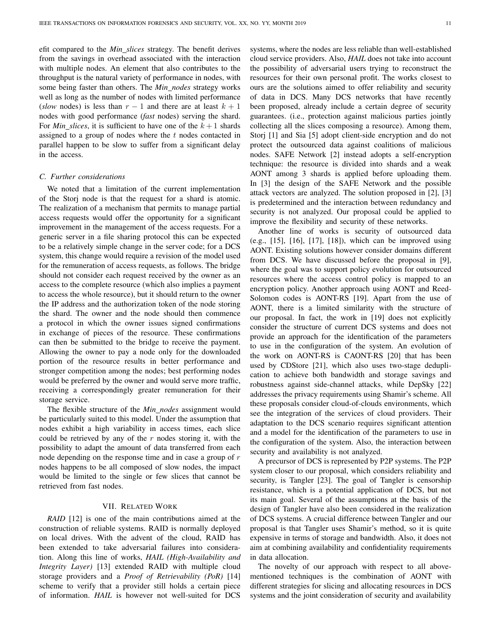efit compared to the *Min slices* strategy. The benefit derives from the savings in overhead associated with the interaction with multiple nodes. An element that also contributes to the throughput is the natural variety of performance in nodes, with some being faster than others. The *Min nodes* strategy works well as long as the number of nodes with limited performance (*slow* nodes) is less than  $r - 1$  and there are at least  $k + 1$ nodes with good performance (*fast* nodes) serving the shard. For *Min\_slices*, it is sufficient to have one of the  $k+1$  shards assigned to a group of nodes where the t nodes contacted in parallel happen to be slow to suffer from a significant delay in the access.

## *C. Further considerations*

We noted that a limitation of the current implementation of the Storj node is that the request for a shard is atomic. The realization of a mechanism that permits to manage partial access requests would offer the opportunity for a significant improvement in the management of the access requests. For a generic server in a file sharing protocol this can be expected to be a relatively simple change in the server code; for a DCS system, this change would require a revision of the model used for the remuneration of access requests, as follows. The bridge should not consider each request received by the owner as an access to the complete resource (which also implies a payment to access the whole resource), but it should return to the owner the IP address and the authorization token of the node storing the shard. The owner and the node should then commence a protocol in which the owner issues signed confirmations in exchange of pieces of the resource. These confirmations can then be submitted to the bridge to receive the payment. Allowing the owner to pay a node only for the downloaded portion of the resource results in better performance and stronger competition among the nodes; best performing nodes would be preferred by the owner and would serve more traffic, receiving a correspondingly greater remuneration for their storage service.

The flexible structure of the *Min nodes* assignment would be particularly suited to this model. Under the assumption that nodes exhibit a high variability in access times, each slice could be retrieved by any of the  $r$  nodes storing it, with the possibility to adapt the amount of data transferred from each node depending on the response time and in case a group of  $r$ nodes happens to be all composed of slow nodes, the impact would be limited to the single or few slices that cannot be retrieved from fast nodes.

## VII. RELATED WORK

*RAID* [12] is one of the main contributions aimed at the construction of reliable systems. RAID is normally deployed on local drives. With the advent of the cloud, RAID has been extended to take adversarial failures into consideration. Along this line of works, *HAIL (High-Availability and Integrity Layer)* [13] extended RAID with multiple cloud storage providers and a *Proof of Retrievability (PoR)* [14] scheme to verify that a provider still holds a certain piece of information. *HAIL* is however not well-suited for DCS systems, where the nodes are less reliable than well-established cloud service providers. Also, *HAIL* does not take into account the possibility of adversarial users trying to reconstruct the resources for their own personal profit. The works closest to ours are the solutions aimed to offer reliability and security of data in DCS. Many DCS networks that have recently been proposed, already include a certain degree of security guarantees. (i.e., protection against malicious parties jointly collecting all the slices composing a resource). Among them, Storj [1] and Sia [5] adopt client-side encryption and do not protect the outsourced data against coalitions of malicious nodes. SAFE Network [2] instead adopts a self-encryption technique: the resource is divided into shards and a weak AONT among 3 shards is applied before uploading them. In [3] the design of the SAFE Network and the possible attack vectors are analyzed. The solution proposed in [2], [3] is predetermined and the interaction between redundancy and security is not analyzed. Our proposal could be applied to improve the flexibility and security of these networks.

Another line of works is security of outsourced data (e.g., [15], [16], [17], [18]), which can be improved using AONT. Existing solutions however consider domains different from DCS. We have discussed before the proposal in [9], where the goal was to support policy evolution for outsourced resources where the access control policy is mapped to an encryption policy. Another approach using AONT and Reed-Solomon codes is AONT-RS [19]. Apart from the use of AONT, there is a limited similarity with the structure of our proposal. In fact, the work in [19] does not explicitly consider the structure of current DCS systems and does not provide an approach for the identification of the parameters to use in the configuration of the system. An evolution of the work on AONT-RS is CAONT-RS [20] that has been used by CDStore [21], which also uses two-stage deduplication to achieve both bandwidth and storage savings and robustness against side-channel attacks, while DepSky [22] addresses the privacy requirements using Shamir's scheme. All these proposals consider cloud-of-clouds environments, which see the integration of the services of cloud providers. Their adaptation to the DCS scenario requires significant attention and a model for the identification of the parameters to use in the configuration of the system. Also, the interaction between security and availability is not analyzed.

A precursor of DCS is represented by P2P systems. The P2P system closer to our proposal, which considers reliability and security, is Tangler [23]. The goal of Tangler is censorship resistance, which is a potential application of DCS, but not its main goal. Several of the assumptions at the basis of the design of Tangler have also been considered in the realization of DCS systems. A crucial difference between Tangler and our proposal is that Tangler uses Shamir's method, so it is quite expensive in terms of storage and bandwidth. Also, it does not aim at combining availability and confidentiality requirements in data allocation.

The novelty of our approach with respect to all abovementioned techniques is the combination of AONT with different strategies for slicing and allocating resources in DCS systems and the joint consideration of security and availability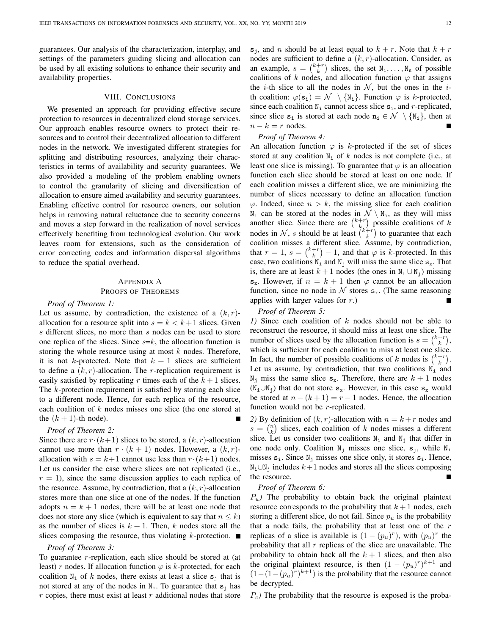guarantees. Our analysis of the characterization, interplay, and settings of the parameters guiding slicing and allocation can be used by all existing solutions to enhance their security and availability properties.

## VIII. CONCLUSIONS

We presented an approach for providing effective secure protection to resources in decentralized cloud storage services. Our approach enables resource owners to protect their resources and to control their decentralized allocation to different nodes in the network. We investigated different strategies for splitting and distributing resources, analyzing their characteristics in terms of availability and security guarantees. We also provided a modeling of the problem enabling owners to control the granularity of slicing and diversification of allocation to ensure aimed availability and security guarantees. Enabling effective control for resource owners, our solution helps in removing natural reluctance due to security concerns and moves a step forward in the realization of novel services effectively benefiting from technological evolution. Our work leaves room for extensions, such as the consideration of error correcting codes and information dispersal algorithms to reduce the spatial overhead.

## APPENDIX A PROOFS OF THEOREMS

#### *Proof of Theorem 1:*

Let us assume, by contradiction, the existence of a  $(k, r)$ allocation for a resource split into  $s = k < k+1$  slices. Given s different slices, no more than s nodes can be used to store one replica of the slices. Since  $s=k$ , the allocation function is storing the whole resource using at most  $k$  nodes. Therefore, it is not k-protected. Note that  $k + 1$  slices are sufficient to define a  $(k, r)$ -allocation. The *r*-replication requirement is easily satisfied by replicating r times each of the  $k+1$  slices. The k-protection requirement is satisfied by storing each slice to a different node. Hence, for each replica of the resource, each coalition of k nodes misses one slice (the one stored at the  $(k + 1)$ -th node).

#### *Proof of Theorem 2:*

Since there are  $r \cdot (k+1)$  slices to be stored, a  $(k, r)$ -allocation cannot use more than  $r \cdot (k + 1)$  nodes. However, a  $(k, r)$ allocation with  $s = k+1$  cannot use less than  $r \cdot (k+1)$  nodes. Let us consider the case where slices are not replicated (i.e.,  $r = 1$ , since the same discussion applies to each replica of the resource. Assume, by contradiction, that a  $(k, r)$ -allocation stores more than one slice at one of the nodes. If the function adopts  $n = k + 1$  nodes, there will be at least one node that does not store any slice (which is equivalent to say that  $n \leq k$ ) as the number of slices is  $k + 1$ . Then, k nodes store all the slices composing the resource, thus violating  $k$ -protection.

## *Proof of Theorem 3:*

To guarantee r-replication, each slice should be stored at (at least) r nodes. If allocation function  $\varphi$  is k-protected, for each coalition  $N_i$  of k nodes, there exists at least a slice  $s_j$  that is not stored at any of the nodes in  $N_i$ . To guarantee that  $s_j$  has  $r$  copies, there must exist at least  $r$  additional nodes that store  $s_i$ , and n should be at least equal to  $k + r$ . Note that  $k + r$ nodes are sufficient to define a  $(k, r)$ -allocation. Consider, as an example,  $s = \binom{k+r}{k}$  slices, the set  $N_1, \ldots, N_s$  of possible coalitions of k nodes, and allocation function  $\varphi$  that assigns the *i*-th slice to all the nodes in  $N$ , but the ones in the *i*th coalition:  $\varphi(\mathbf{s_i}) = \mathcal{N} \setminus \{\mathbb{N_i}\}\$ . Function  $\varphi$  is k-protected, since each coalition  $N_i$  cannot access slice  $s_i$ , and r-replicated, since slice  $s_i$  is stored at each node  $n_i \in \mathcal{N} \setminus \{N_i\}$ , then at  $n - k = r$  nodes.

#### *Proof of Theorem 4:*

An allocation function  $\varphi$  is k-protected if the set of slices stored at any coalition  $N_i$  of k nodes is not complete (i.e., at least one slice is missing). To guarantee that  $\varphi$  is an allocation function each slice should be stored at least on one node. If each coalition misses a different slice, we are minimizing the number of slices necessary to define an allocation function  $\varphi$ . Indeed, since  $n > k$ , the missing slice for each coalition  $N_i$  can be stored at the nodes in  $\mathcal{N} \setminus N_i$ , as they will miss another slice. Since there are  $\binom{k+r}{k}$  possible coalitions of k nodes in N, s should be at least  $\binom{k+r}{k}$  to guarantee that each coalition misses a different slice. Assume, by contradiction, that  $r = 1$ ,  $s = \binom{k+r}{k} - 1$ , and that  $\varphi$  is k-protected. In this case, two coalitions  $N_i$  and  $N_j$  will miss the same slice  $s_x$ . That is, there are at least  $k + 1$  nodes (the ones in  $N_i \cup N_j$ ) missing  $s_x$ . However, if  $n = k + 1$  then  $\varphi$  cannot be an allocation function, since no node in  $\mathcal N$  stores  $s_x$ . (The same reasoning applies with larger values for r.)

## *Proof of Theorem 5:*

*1)* Since each coalition of k nodes should not be able to reconstruct the resource, it should miss at least one slice. The number of slices used by the allocation function is  $s = \binom{k+r}{k}$ , which is sufficient for each coalition to miss at least one slice. In fact, the number of possible coalitions of k nodes is  $\binom{k+r}{k}$ . Let us assume, by contradiction, that two coalitions  $N_i$  and  $N_i$  miss the same slice  $s_x$ . Therefore, there are  $k + 1$  nodes  $(N_i \cup N_j)$  that do not store s<sub>x</sub>. However, in this case s<sub>x</sub> would be stored at  $n - (k + 1) = r - 1$  nodes. Hence, the allocation function would not be r-replicated.

2) By definition of  $(k, r)$ -allocation with  $n = k + r$  nodes and  $s = \binom{n}{k}$  slices, each coalition of k nodes misses a different slice. Let us consider two coalitions  $N_i$  and  $N_j$  that differ in one node only. Coalition  $N_i$  misses one slice,  $s_i$ , while  $N_i$ misses  $s_i$ . Since  $N_i$  misses one slice only, it stores  $s_i$ . Hence,  $N_i \cup N_i$  includes  $k+1$  nodes and stores all the slices composing the resource.

## *Proof of Theorem 6:*

 $P_u$ ) The probability to obtain back the original plaintext resource corresponds to the probability that  $k+1$  nodes, each storing a different slice, do not fail. Since  $p_u$  is the probability that a node fails, the probability that at least one of the  $r$ replicas of a slice is available is  $(1 - (p_u)^r)$ , with  $(p_u)^r$  the probability that all  $r$  replicas of the slice are unavailable. The probability to obtain back all the  $k + 1$  slices, and then also the original plaintext resource, is then  $(1 - (p_u)^r)^{k+1}$  and  $(1 - (1 - (p_u)^r)^{k+1})$  is the probability that the resource cannot be decrypted.

Pc*)* The probability that the resource is exposed is the proba-